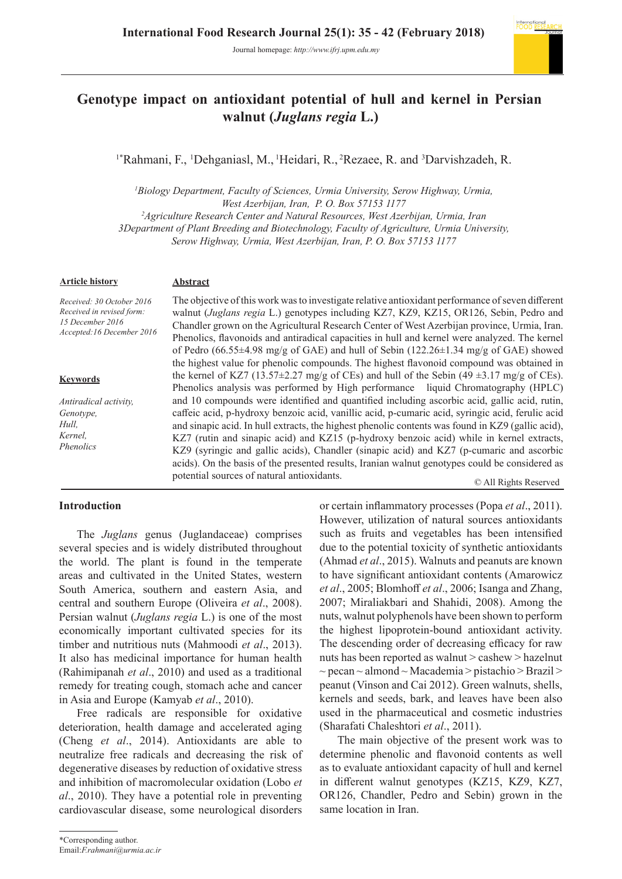Journal homepage: *http://www.ifrj.upm.edu.my*



# **Genotype impact on antioxidant potential of hull and kernel in Persian walnut (***Juglans regia* **L.)**

<sup>1</sup>\*Rahmani, F., <sup>1</sup>Dehganiasl, M., <sup>1</sup>Heidari, R., <sup>2</sup>Rezaee, R. and <sup>3</sup>Darvishzadeh, R.

<sup>1</sup>Biology Department, Faculty of Sciences, Urmia University, Serow Highway, Urmia, *West Azerbijan, Iran, P. O. Box 57153 1177*

*2 Agriculture Research Center and Natural Resources, West Azerbijan, Urmia, Iran*

*3Department of Plant Breeding and Biotechnology, Faculty of Agriculture, Urmia University,* 

*Serow Highway, Urmia, West Azerbijan, Iran, P. O. Box 57153 1177*

#### **Article history**

*Received: 30 October 2016 Received in revised form: 15 December 2016 Accepted:16 December 2016*

#### **Keywords**

*Antiradical activity, Genotype, Hull, Kernel, Phenolics* 

### **Abstract**

The objective of this work was to investigate relative antioxidant performance of seven different walnut (*Juglans regia* L.) genotypes including KZ7, KZ9, KZ15, OR126, Sebin, Pedro and Chandler grown on the Agricultural Research Center of West Azerbijan province, Urmia, Iran. Phenolics, flavonoids and antiradical capacities in hull and kernel were analyzed. The kernel of Pedro (66.55 $\pm$ 4.98 mg/g of GAE) and hull of Sebin (122.26 $\pm$ 1.34 mg/g of GAE) showed the highest value for phenolic compounds. The highest flavonoid compound was obtained in the kernel of KZ7 (13.57 $\pm$ 2.27 mg/g of CEs) and hull of the Sebin (49 $\pm$ 3.17 mg/g of CEs). Phenolics analysis was performed by High performance liquid Chromatography (HPLC) and 10 compounds were identified and quantified including ascorbic acid, gallic acid, rutin, caffeic acid, p-hydroxy benzoic acid, vanillic acid, p-cumaric acid, syringic acid, ferulic acid and sinapic acid. In hull extracts, the highest phenolic contents was found in KZ9 (gallic acid), KZ7 (rutin and sinapic acid) and KZ15 (p-hydroxy benzoic acid) while in kernel extracts, KZ9 (syringic and gallic acids), Chandler (sinapic acid) and KZ7 (p-cumaric and ascorbic acids). On the basis of the presented results, Iranian walnut genotypes could be considered as potential sources of natural antioxidants.

© All Rights Reserved

#### **Introduction**

The *Juglans* genus (Juglandaceae) comprises several species and is widely distributed throughout the world. The plant is found in the temperate areas and cultivated in the United States, western South America, southern and eastern Asia, and central and southern Europe (Oliveira *et al*., 2008). Persian walnut (*Juglans regia* L.) is one of the most economically important cultivated species for its timber and nutritious nuts (Mahmoodi *et al*., 2013). It also has medicinal importance for human health (Rahimipanah *et al*., 2010) and used as a traditional remedy for treating cough, stomach ache and cancer in Asia and Europe (Kamyab *et al*., 2010).

Free radicals are responsible for oxidative deterioration, health damage and accelerated aging (Cheng *et al*., 2014). Antioxidants are able to neutralize free radicals and decreasing the risk of degenerative diseases by reduction of oxidative stress and inhibition of macromolecular oxidation (Lobo *et al*., 2010). They have a potential role in preventing cardiovascular disease, some neurological disorders

or certain inflammatory processes (Popa *et al*., 2011). However, utilization of natural sources antioxidants such as fruits and vegetables has been intensified due to the potential toxicity of synthetic antioxidants (Ahmad *et al*., 2015). Walnuts and peanuts are known to have significant antioxidant contents (Amarowicz *et al*., 2005; Blomhoff *et al*., 2006; Isanga and Zhang, 2007; Miraliakbari and Shahidi, 2008). Among the nuts, walnut polyphenols have been shown to perform the highest lipoprotein-bound antioxidant activity. The descending order of decreasing efficacy for raw nuts has been reported as walnut > cashew > hazelnut  $\sim$  pecan  $\sim$  almond  $\sim$  Macademia  $>$  pistachio  $>$  Brazil  $>$ peanut (Vinson and Cai 2012). Green walnuts, shells, kernels and seeds, bark, and leaves have been also used in the pharmaceutical and cosmetic industries (Sharafati Chaleshtori *et al*., 2011).

The main objective of the present work was to determine phenolic and flavonoid contents as well as to evaluate antioxidant capacity of hull and kernel in different walnut genotypes (KZ15, KZ9, KZ7, OR126, Chandler, Pedro and Sebin) grown in the same location in Iran.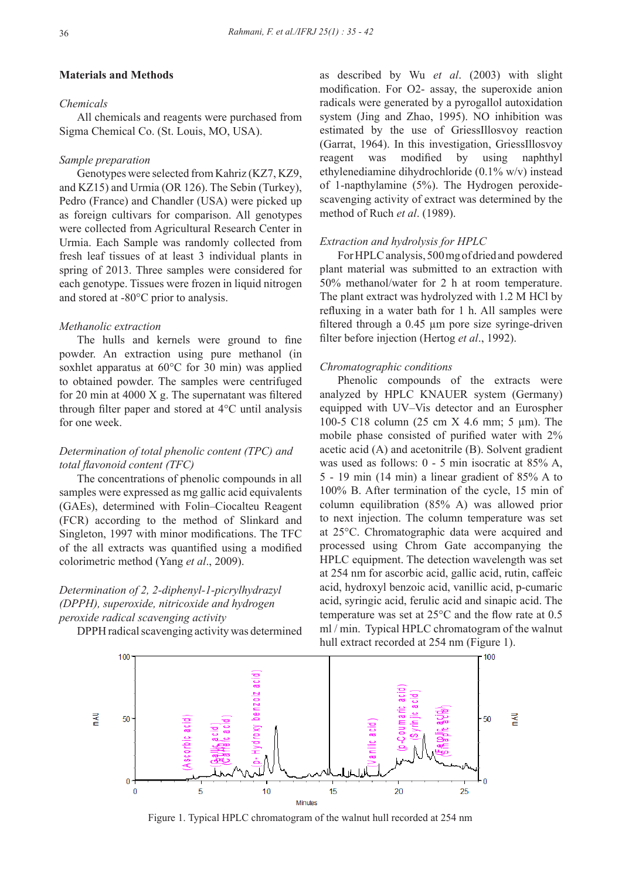#### **Materials and Methods**

# *Chemicals*

All chemicals and reagents were purchased from Sigma Chemical Co. (St. Louis, MO, USA).

#### *Sample preparation*

Genotypes were selected from Kahriz (KZ7, KZ9, and KZ15) and Urmia (OR 126). The Sebin (Turkey), Pedro (France) and Chandler (USA) were picked up as foreign cultivars for comparison. All genotypes were collected from Agricultural Research Center in Urmia. Each Sample was randomly collected from fresh leaf tissues of at least 3 individual plants in spring of 2013. Three samples were considered for each genotype. Tissues were frozen in liquid nitrogen and stored at -80°C prior to analysis.

#### *Methanolic extraction*

The hulls and kernels were ground to fine powder. An extraction using pure methanol (in soxhlet apparatus at 60°C for 30 min) was applied to obtained powder. The samples were centrifuged for 20 min at 4000 X g. The supernatant was filtered through filter paper and stored at 4°C until analysis for one week.

# *Determination of total phenolic content (TPC) and total flavonoid content (TFC)*

The concentrations of phenolic compounds in all samples were expressed as mg gallic acid equivalents (GAEs), determined with Folin–Ciocalteu Reagent (FCR) according to the method of Slinkard and Singleton, 1997 with minor modifications. The TFC of the all extracts was quantified using a modified colorimetric method (Yang *et al*., 2009).

# *Determination of 2, 2-diphenyl-1-picrylhydrazyl (DPPH), superoxide, nitricoxide and hydrogen peroxide radical scavenging activity*

DPPH radical scavenging activity was determined

as described by Wu *et al*. (2003) with slight modification. For O2- assay, the superoxide anion radicals were generated by a pyrogallol autoxidation system (Jing and Zhao, 1995). NO inhibition was estimated by the use of GriessIllosvoy reaction (Garrat, 1964). In this investigation, GriessIllosvoy reagent was modified by using naphthyl ethylenediamine dihydrochloride (0.1% w/v) instead of 1-napthylamine (5%). The Hydrogen peroxidescavenging activity of extract was determined by the method of Ruch *et al*. (1989).

#### *Extraction and hydrolysis for HPLC*

For HPLC analysis, 500 mg of dried and powdered plant material was submitted to an extraction with 50% methanol/water for 2 h at room temperature. The plant extract was hydrolyzed with 1.2 M HCl by refluxing in a water bath for 1 h. All samples were filtered through a 0.45 µm pore size syringe-driven filter before injection (Hertog *et al*., 1992).

#### *Chromatographic conditions*

Phenolic compounds of the extracts were analyzed by HPLC KNAUER system (Germany) equipped with UV–Vis detector and an Eurospher 100-5 C18 column (25 cm X 4.6 mm; 5 µm). The mobile phase consisted of purified water with 2% acetic acid (A) and acetonitrile (B). Solvent gradient was used as follows: 0 - 5 min isocratic at 85% A, 5 - 19 min (14 min) a linear gradient of 85% A to 100% B. After termination of the cycle, 15 min of column equilibration (85% A) was allowed prior to next injection. The column temperature was set at 25°C. Chromatographic data were acquired and processed using Chrom Gate accompanying the HPLC equipment. The detection wavelength was set at 254 nm for ascorbic acid, gallic acid, rutin, caffeic acid, hydroxyl benzoic acid, vanillic acid, p-cumaric acid, syringic acid, ferulic acid and sinapic acid. The temperature was set at 25°C and the flow rate at 0.5 ml / min. Typical HPLC chromatogram of the walnut hull extract recorded at 254 nm (Figure 1).



Figure 1. Typical HPLC chromatogram of the walnut hull recorded at 254 nm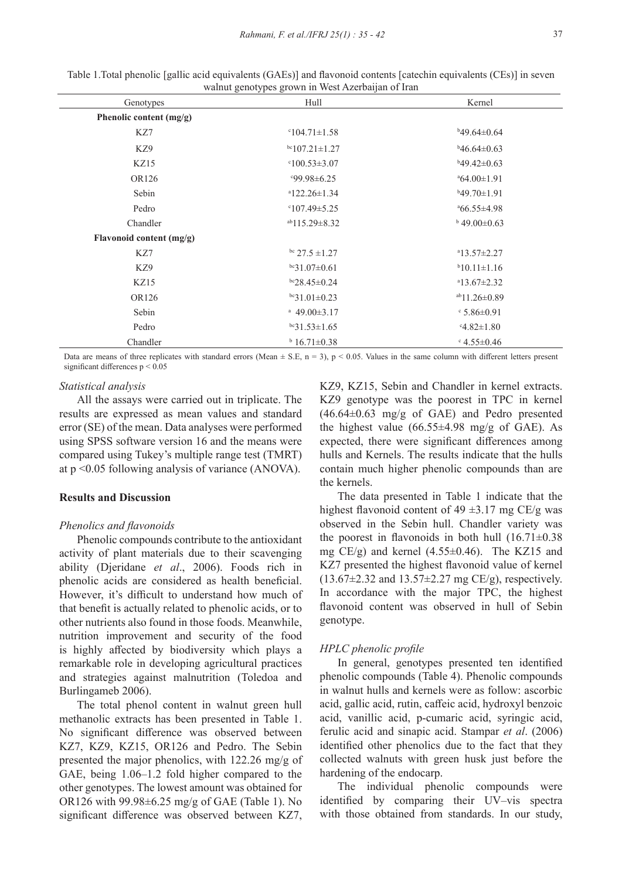| Genotypes                | Hull                          | Kernel                  |
|--------------------------|-------------------------------|-------------------------|
| Phenolic content (mg/g)  |                               |                         |
| KZ7                      | $^{\circ}104.71 \pm 1.58$     | $b49.64\pm0.64$         |
| KZ9                      | $bc107.21 \pm 1.27$           | $b46.64 \pm 0.63$       |
| KZ15                     | $0.53 \pm 3.07$               | $b49.42 \pm 0.63$       |
| OR126                    | $99.98 \pm 6.25$              | $^{a}64.00\pm1.91$      |
| Sebin                    | $a$ 122.26±1.34               | $b49.70 \pm 1.91$       |
| Pedro                    | $^{\circ}107.49 \pm 5.25$     | $^{\circ}66.55\pm4.98$  |
| Chandler                 | $ab115.29 \pm 8.32$           | $b$ 49.00 $\pm$ 0.63    |
| Flavonoid content (mg/g) |                               |                         |
| KZ7                      | bc $27.5 \pm 1.27$            | $a13.57 \pm 2.27$       |
| KZ9                      | $bc31.07\pm0.61$              | $b10.11 \pm 1.16$       |
| KZ15                     | $bc28.45 \pm 0.24$            | $a_{13.67\pm2.32}$      |
| OR126                    | $bc31.01\pm0.23$              | $ab11.26 \pm 0.89$      |
| Sebin                    | <sup>a</sup> 49.00 $\pm$ 3.17 | $\cdot$ 5.86±0.91       |
| Pedro                    | $bc31.53 \pm 1.65$            | $-4.82 \pm 1.80$        |
| Chandler                 | $b$ 16.71 $\pm$ 0.38          | $\cdot$ 4.55 $\pm$ 0.46 |

Table 1.Total phenolic [gallic acid equivalents (GAEs)] and flavonoid contents [catechin equivalents (CEs)] in seven walnut genotypes grown in West Azerbaijan of Iran

Data are means of three replicates with standard errors (Mean  $\pm$  S.E, n = 3), p < 0.05. Values in the same column with different letters present significant differences p < 0.05

#### *Statistical analysis*

All the assays were carried out in triplicate. The results are expressed as mean values and standard error (SE) of the mean. Data analyses were performed using SPSS software version 16 and the means were compared using Tukey's multiple range test (TMRT) at p <0.05 following analysis of variance (ANOVA).

# **Results and Discussion**

#### *Phenolics and flavonoids*

Phenolic compounds contribute to the antioxidant activity of plant materials due to their scavenging ability (Djeridane *et al*., 2006). Foods rich in phenolic acids are considered as health beneficial. However, it's difficult to understand how much of that benefit is actually related to phenolic acids, or to other nutrients also found in those foods. Meanwhile, nutrition improvement and security of the food is highly affected by biodiversity which plays a remarkable role in developing agricultural practices and strategies against malnutrition (Toledoa and Burlingameb 2006).

The total phenol content in walnut green hull methanolic extracts has been presented in Table 1. No significant difference was observed between KZ7, KZ9, KZ15, OR126 and Pedro. The Sebin presented the major phenolics, with 122.26 mg/g of GAE, being 1.06–1.2 fold higher compared to the other genotypes. The lowest amount was obtained for OR126 with 99.98±6.25 mg/g of GAE (Table 1). No significant difference was observed between KZ7,

KZ9, KZ15, Sebin and Chandler in kernel extracts. KZ9 genotype was the poorest in TPC in kernel (46.64±0.63 mg/g of GAE) and Pedro presented the highest value  $(66.55\pm4.98 \text{ mg/g of GAE})$ . As expected, there were significant differences among hulls and Kernels. The results indicate that the hulls contain much higher phenolic compounds than are the kernels.

The data presented in Table 1 indicate that the highest flavonoid content of  $49 \pm 3.17$  mg CE/g was observed in the Sebin hull. Chandler variety was the poorest in flavonoids in both hull  $(16.71\pm0.38)$ mg CE/g) and kernel (4.55±0.46). The KZ15 and KZ7 presented the highest flavonoid value of kernel  $(13.67 \pm 2.32 \text{ and } 13.57 \pm 2.27 \text{ mg CE/g})$ , respectively. In accordance with the major TPC, the highest flavonoid content was observed in hull of Sebin genotype.

#### *HPLC phenolic profile*

In general, genotypes presented ten identified phenolic compounds (Table 4). Phenolic compounds in walnut hulls and kernels were as follow: ascorbic acid, gallic acid, rutin, caffeic acid, hydroxyl benzoic acid, vanillic acid, p-cumaric acid, syringic acid, ferulic acid and sinapic acid. Stampar *et al*. (2006) identified other phenolics due to the fact that they collected walnuts with green husk just before the hardening of the endocarp.

The individual phenolic compounds were identified by comparing their UV–vis spectra with those obtained from standards. In our study,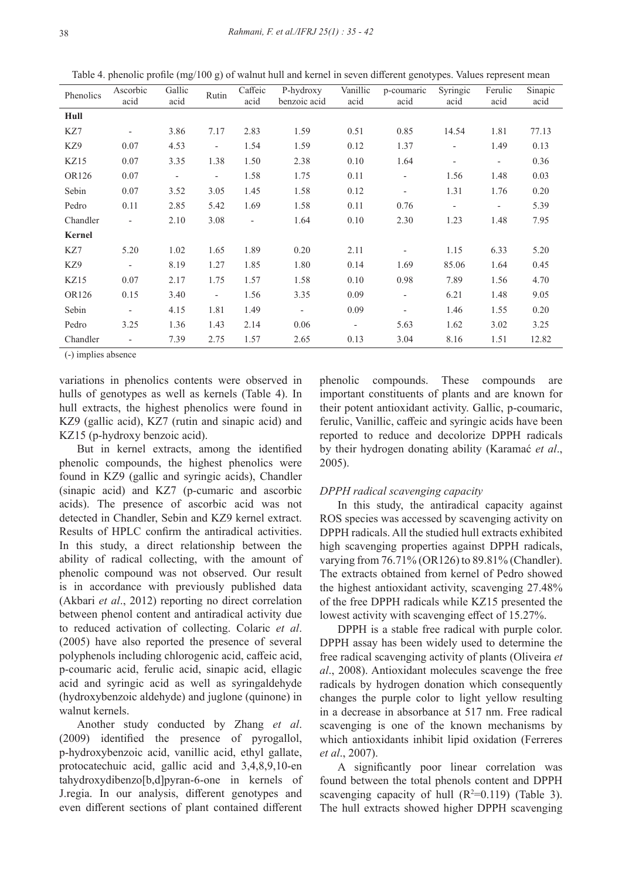Table 4. phenolic profile (mg/100 g) of walnut hull and kernel in seven different genotypes. Values represent mean

| Phenolics | Ascorbic<br>acid         | Gallic<br>acid           | Rutin                    | Caffeic<br>acid          | P-hydroxy<br>benzoic acid | Vanillic<br>acid         | p-coumaric<br>acid       | Syringic<br>acid         | Ferulic<br>acid          | Sinapic<br>acid |
|-----------|--------------------------|--------------------------|--------------------------|--------------------------|---------------------------|--------------------------|--------------------------|--------------------------|--------------------------|-----------------|
| Hull      |                          |                          |                          |                          |                           |                          |                          |                          |                          |                 |
| KZ7       | $\qquad \qquad -$        | 3.86                     | 7.17                     | 2.83                     | 1.59                      | 0.51                     | 0.85                     | 14.54                    | 1.81                     | 77.13           |
| KZ9       | 0.07                     | 4.53                     | $\overline{\phantom{0}}$ | 1.54                     | 1.59                      | 0.12                     | 1.37                     | $\overline{\phantom{a}}$ | 1.49                     | 0.13            |
| KZ15      | 0.07                     | 3.35                     | 1.38                     | 1.50                     | 2.38                      | 0.10                     | 1.64                     | $\overline{\phantom{a}}$ | $\overline{\phantom{0}}$ | 0.36            |
| OR126     | 0.07                     | $\overline{\phantom{a}}$ | $\overline{\phantom{0}}$ | 1.58                     | 1.75                      | 0.11                     | $\overline{\phantom{a}}$ | 1.56                     | 1.48                     | 0.03            |
| Sebin     | 0.07                     | 3.52                     | 3.05                     | 1.45                     | 1.58                      | 0.12                     | $\overline{\phantom{a}}$ | 1.31                     | 1.76                     | 0.20            |
| Pedro     | 0.11                     | 2.85                     | 5.42                     | 1.69                     | 1.58                      | 0.11                     | 0.76                     | $\overline{\phantom{a}}$ | $\overline{\phantom{0}}$ | 5.39            |
| Chandler  | $\overline{\phantom{a}}$ | 2.10                     | 3.08                     | $\overline{\phantom{a}}$ | 1.64                      | 0.10                     | 2.30                     | 1.23                     | 1.48                     | 7.95            |
| Kernel    |                          |                          |                          |                          |                           |                          |                          |                          |                          |                 |
| KZ7       | 5.20                     | 1.02                     | 1.65                     | 1.89                     | 0.20                      | 2.11                     |                          | 1.15                     | 6.33                     | 5.20            |
| KZ9       | $\overline{\phantom{a}}$ | 8.19                     | 1.27                     | 1.85                     | 1.80                      | 0.14                     | 1.69                     | 85.06                    | 1.64                     | 0.45            |
| KZ15      | 0.07                     | 2.17                     | 1.75                     | 1.57                     | 1.58                      | 0.10                     | 0.98                     | 7.89                     | 1.56                     | 4.70            |
| OR126     | 0.15                     | 3.40                     | $\overline{\phantom{0}}$ | 1.56                     | 3.35                      | 0.09                     | $\overline{\phantom{0}}$ | 6.21                     | 1.48                     | 9.05            |
| Sebin     | $\overline{\phantom{a}}$ | 4.15                     | 1.81                     | 1.49                     | $\overline{\phantom{a}}$  | 0.09                     | $\overline{\phantom{0}}$ | 1.46                     | 1.55                     | 0.20            |
| Pedro     | 3.25                     | 1.36                     | 1.43                     | 2.14                     | 0.06                      | $\overline{\phantom{a}}$ | 5.63                     | 1.62                     | 3.02                     | 3.25            |
| Chandler  | $\overline{\phantom{a}}$ | 7.39                     | 2.75                     | 1.57                     | 2.65                      | 0.13                     | 3.04                     | 8.16                     | 1.51                     | 12.82           |

(-) implies absence

variations in phenolics contents were observed in hulls of genotypes as well as kernels (Table 4). In hull extracts, the highest phenolics were found in KZ9 (gallic acid), KZ7 (rutin and sinapic acid) and KZ15 (p-hydroxy benzoic acid).

But in kernel extracts, among the identified phenolic compounds, the highest phenolics were found in KZ9 (gallic and syringic acids), Chandler (sinapic acid) and KZ7 (p-cumaric and ascorbic acids). The presence of ascorbic acid was not detected in Chandler, Sebin and KZ9 kernel extract. Results of HPLC confirm the antiradical activities. In this study, a direct relationship between the ability of radical collecting, with the amount of phenolic compound was not observed. Our result is in accordance with previously published data (Akbari *et al*., 2012) reporting no direct correlation between phenol content and antiradical activity due to reduced activation of collecting. Colaric *et al*. (2005) have also reported the presence of several polyphenols including chlorogenic acid, caffeic acid, p-coumaric acid, ferulic acid, sinapic acid, ellagic acid and syringic acid as well as syringaldehyde (hydroxybenzoic aldehyde) and juglone (quinone) in walnut kernels.

Another study conducted by Zhang *et al*. (2009) identified the presence of pyrogallol, p-hydroxybenzoic acid, vanillic acid, ethyl gallate, protocatechuic acid, gallic acid and 3,4,8,9,10-en tahydroxydibenzo[b,d]pyran-6-one in kernels of J.regia. In our analysis, different genotypes and even different sections of plant contained different

phenolic compounds. These compounds are important constituents of plants and are known for their potent antioxidant activity. Gallic, p-coumaric, ferulic, Vanillic, caffeic and syringic acids have been reported to reduce and decolorize DPPH radicals by their hydrogen donating ability (Karamać *et al*., 2005).

#### *DPPH radical scavenging capacity*

In this study, the antiradical capacity against ROS species was accessed by scavenging activity on DPPH radicals. All the studied hull extracts exhibited high scavenging properties against DPPH radicals, varying from 76.71% (OR126) to 89.81% (Chandler). The extracts obtained from kernel of Pedro showed the highest antioxidant activity, scavenging 27.48% of the free DPPH radicals while KZ15 presented the lowest activity with scavenging effect of 15.27%.

DPPH is a stable free radical with purple color. DPPH assay has been widely used to determine the free radical scavenging activity of plants (Oliveira *et al*., 2008). Antioxidant molecules scavenge the free radicals by hydrogen donation which consequently changes the purple color to light yellow resulting in a decrease in absorbance at 517 nm. Free radical scavenging is one of the known mechanisms by which antioxidants inhibit lipid oxidation (Ferreres *et al*., 2007).

A significantly poor linear correlation was found between the total phenols content and DPPH scavenging capacity of hull  $(R^2=0.119)$  (Table 3). The hull extracts showed higher DPPH scavenging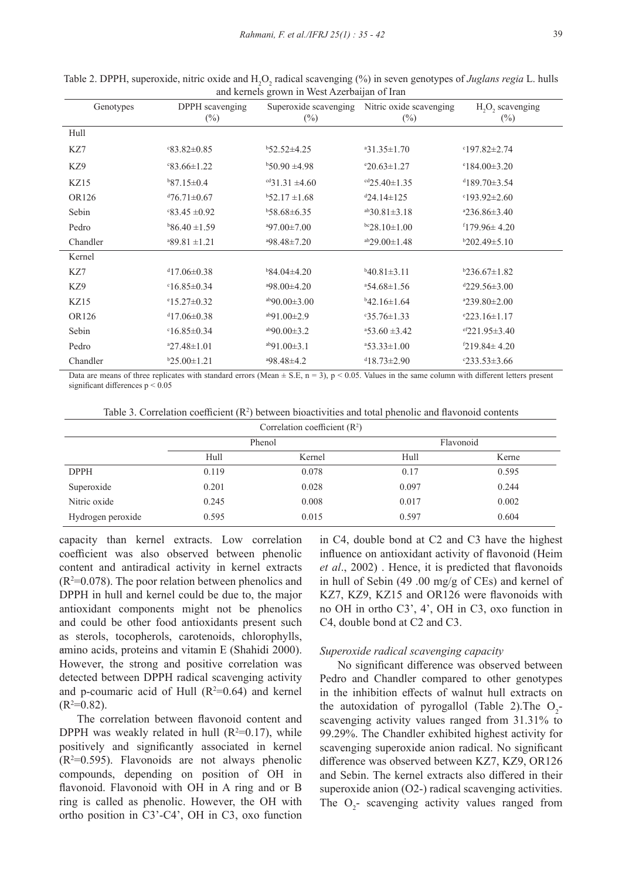| $\frac{1}{2}$ and $\frac{1}{2}$ and $\frac{1}{2}$ and $\frac{1}{2}$ and $\frac{1}{2}$ and $\frac{1}{2}$ and $\frac{1}{2}$ and $\frac{1}{2}$ and $\frac{1}{2}$ |                           |                           |                                                         |                                                    |  |  |
|---------------------------------------------------------------------------------------------------------------------------------------------------------------|---------------------------|---------------------------|---------------------------------------------------------|----------------------------------------------------|--|--|
| Genotypes                                                                                                                                                     | DPPH scavenging<br>$(\%)$ | $(\%)$                    | Superoxide scavenging Nitric oxide scavenging<br>$(\%)$ | H <sub>2</sub> O <sub>2</sub> scavenging<br>$(\%)$ |  |  |
| Hull                                                                                                                                                          |                           |                           |                                                         |                                                    |  |  |
| KZ7                                                                                                                                                           | $83.82 \pm 0.85$          | $b$ 52.52 $\pm$ 4.25      | $31.35 \pm 1.70$                                        | $^{\circ}197.82 \pm 2.74$                          |  |  |
| KZ9                                                                                                                                                           | $83.66 \pm 1.22$          | $b$ 50.90 ±4.98           | $20.63 \pm 1.27$                                        | $^{\circ}184.00\pm3.20$                            |  |  |
| KZ15                                                                                                                                                          | $b87.15 \pm 0.4$          | $\text{cd}31.31 \pm 4.60$ | $\text{cd}25.40 \pm 1.35$                               | $4189.70 \pm 3.54$                                 |  |  |
| OR126                                                                                                                                                         | $476.71 \pm 0.67$         | $b$ 52.17 $\pm$ 1.68      | $424.14 \pm 125$                                        | $0.193.92 \pm 2.60$                                |  |  |
| Sebin                                                                                                                                                         | $\text{°83.45} \pm 0.92$  | $b$ 58.68±6.35            | $ab30.81 \pm 3.18$                                      | $236.86 \pm 3.40$                                  |  |  |
| Pedro                                                                                                                                                         | $b86.40 \pm 1.59$         | $497.00 \pm 7.00$         | $bc28.10 \pm 1.00$                                      | $f179.96 \pm 4.20$                                 |  |  |
| Chandler                                                                                                                                                      | $89.81 \pm 1.21$          | $498.48 \pm 7.20$         | $a b 29.00 \pm 1.48$                                    | $b202.49 \pm 5.10$                                 |  |  |
| Kernel                                                                                                                                                        |                           |                           |                                                         |                                                    |  |  |
| KZ7                                                                                                                                                           | $417.06\pm0.38$           | $b84.04\pm4.20$           | $b40.81 \pm 3.11$                                       | $b236.67 \pm 1.82$                                 |  |  |
| KZ9                                                                                                                                                           | $0.85 \pm 0.34$           | $498.00 \pm 4.20$         | $34.68 \pm 1.56$                                        | $4229.56 \pm 3.00$                                 |  |  |
| KZ15                                                                                                                                                          | $^{\circ}15.27\pm0.32$    | $4b90.00\pm3.00$          | $b42.16 \pm 1.64$                                       | $239.80 \pm 2.00$                                  |  |  |
| OR126                                                                                                                                                         | $417.06 \pm 0.38$         | $a$ b91.00 $\pm$ 2.9      | $-35.76 \pm 1.33$                                       | $223.16 \pm 1.17$                                  |  |  |
| Sebin                                                                                                                                                         | $0.85 \pm 0.34$           | $a\bar{b}90.00\pm3.2$     | $453.60 \pm 3.42$                                       | $e^{ef}221.95\pm3.40$                              |  |  |
| Pedro                                                                                                                                                         | $27.48 \pm 1.01$          | $^{ab}91.00\pm3.1$        | $453.33 \pm 1.00$                                       | $219.84 \pm 4.20$                                  |  |  |
| Chandler                                                                                                                                                      | $b25.00 \pm 1.21$         | $498.48\pm4.2$            | $418.73 \pm 2.90$                                       | $233.53 \pm 3.66$                                  |  |  |

Table 2. DPPH, superoxide, nitric oxide and H<sub>2</sub>O<sub>2</sub> radical scavenging (%) in seven genotypes of *Juglans regia* L. hulls and kernels grown in West Azerbaijan of Iran

Data are means of three replicates with standard errors (Mean  $\pm$  S.E, n = 3), p < 0.05. Values in the same column with different letters present significant differences p < 0.05

Table 3. Correlation coefficient  $(R^2)$  between bioactivities and total phenolic and flavonoid contents

|                   |       | Correlation coefficient $(R^2)$ |           |       |  |
|-------------------|-------|---------------------------------|-----------|-------|--|
|                   |       | Phenol                          | Flavonoid |       |  |
|                   | Hull  | Kernel                          | Hull      | Kerne |  |
| <b>DPPH</b>       | 0.119 | 0.078                           | 0.17      | 0.595 |  |
| Superoxide        | 0.201 | 0.028                           | 0.097     | 0.244 |  |
| Nitric oxide      | 0.245 | 0.008                           | 0.017     | 0.002 |  |
| Hydrogen peroxide | 0.595 | 0.015                           | 0.597     | 0.604 |  |

capacity than kernel extracts. Low correlation coefficient was also observed between phenolic content and antiradical activity in kernel extracts  $(R<sup>2</sup>=0.078)$ . The poor relation between phenolics and DPPH in hull and kernel could be due to, the major antioxidant components might not be phenolics and could be other food antioxidants present such as sterols, tocopherols, carotenoids, chlorophylls, amino acids, proteins and vitamin E (Shahidi 2000). However, the strong and positive correlation was detected between DPPH radical scavenging activity and p-coumaric acid of Hull  $(R^2=0.64)$  and kernel  $(R<sup>2</sup>=0.82).$ 

The correlation between flavonoid content and DPPH was weakly related in hull  $(R^2=0.17)$ , while positively and significantly associated in kernel  $(R<sup>2</sup>=0.595)$ . Flavonoids are not always phenolic compounds, depending on position of OH in flavonoid. Flavonoid with OH in A ring and or B ring is called as phenolic. However, the OH with ortho position in C3'-C4', OH in C3, oxo function

in C4, double bond at C2 and C3 have the highest influence on antioxidant activity of flavonoid (Heim *et al*., 2002) . Hence, it is predicted that flavonoids in hull of Sebin (49 .00 mg/g of CEs) and kernel of KZ7, KZ9, KZ15 and OR126 were flavonoids with no OH in ortho C3', 4', OH in C3, oxo function in C4, double bond at C2 and C3.

#### *Superoxide radical scavenging capacity*

No significant difference was observed between Pedro and Chandler compared to other genotypes in the inhibition effects of walnut hull extracts on the autoxidation of pyrogallol (Table 2). The  $O_2$ scavenging activity values ranged from 31.31% to 99.29%. The Chandler exhibited highest activity for scavenging superoxide anion radical. No significant difference was observed between KZ7, KZ9, OR126 and Sebin. The kernel extracts also differed in their superoxide anion (O2-) radical scavenging activities. The  $O_2$ - scavenging activity values ranged from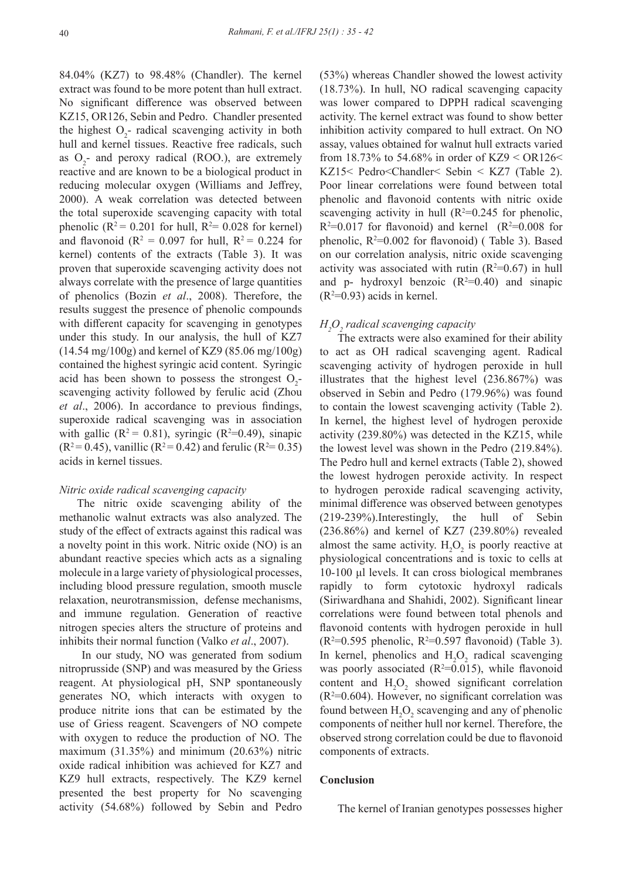84.04% (KZ7) to 98.48% (Chandler). The kernel extract was found to be more potent than hull extract. No significant difference was observed between KZ15, OR126, Sebin and Pedro. Chandler presented the highest  $O_2$ - radical scavenging activity in both hull and kernel tissues. Reactive free radicals, such as  $O_2$ - and peroxy radical (ROO.), are extremely reactive and are known to be a biological product in reducing molecular oxygen (Williams and Jeffrey, 2000). A weak correlation was detected between the total superoxide scavenging capacity with total phenolic ( $\mathbb{R}^2$  = 0.201 for hull,  $\mathbb{R}^2$  = 0.028 for kernel) and flavonoid ( $\mathbb{R}^2 = 0.097$  for hull,  $\mathbb{R}^2 = 0.224$  for kernel) contents of the extracts (Table 3). It was proven that superoxide scavenging activity does not always correlate with the presence of large quantities of phenolics (Bozin *et al*., 2008). Therefore, the results suggest the presence of phenolic compounds with different capacity for scavenging in genotypes under this study. In our analysis, the hull of KZ7  $(14.54 \text{ mg}/100 \text{g})$  and kernel of KZ9 (85.06 mg/100g) contained the highest syringic acid content. Syringic acid has been shown to possess the strongest  $O_2$ scavenging activity followed by ferulic acid (Zhou *et al*., 2006). In accordance to previous findings, superoxide radical scavenging was in association with gallic  $(R^2 = 0.81)$ , syringic  $(R^2=0.49)$ , sinapic  $(R^2 = 0.45)$ , vanillic  $(R^2 = 0.42)$  and ferulic  $(R^2 = 0.35)$ acids in kernel tissues.

#### *Nitric oxide radical scavenging capacity*

The nitric oxide scavenging ability of the methanolic walnut extracts was also analyzed. The study of the effect of extracts against this radical was a novelty point in this work. Nitric oxide (NO) is an abundant reactive species which acts as a signaling molecule in a large variety of physiological processes, including blood pressure regulation, smooth muscle relaxation, neurotransmission, defense mechanisms, and immune regulation. Generation of reactive nitrogen species alters the structure of proteins and inhibits their normal function (Valko *et al*., 2007).

 In our study, NO was generated from sodium nitroprusside (SNP) and was measured by the Griess reagent. At physiological pH, SNP spontaneously generates NO, which interacts with oxygen to produce nitrite ions that can be estimated by the use of Griess reagent. Scavengers of NO compete with oxygen to reduce the production of NO. The maximum (31.35%) and minimum (20.63%) nitric oxide radical inhibition was achieved for KZ7 and KZ9 hull extracts, respectively. The KZ9 kernel presented the best property for No scavenging activity (54.68%) followed by Sebin and Pedro (53%) whereas Chandler showed the lowest activity (18.73%). In hull, NO radical scavenging capacity was lower compared to DPPH radical scavenging activity. The kernel extract was found to show better inhibition activity compared to hull extract. On NO assay, values obtained for walnut hull extracts varied from 18.73% to 54.68% in order of KZ9 <  $OR126$  < KZ15< Pedro<Chandler< Sebin < KZ7 (Table 2). Poor linear correlations were found between total phenolic and flavonoid contents with nitric oxide scavenging activity in hull ( $R^2=0.245$  for phenolic,  $R^2=0.017$  for flavonoid) and kernel  $(R^2=0.008$  for phenolic,  $R^2=0.002$  for flavonoid) (Table 3). Based on our correlation analysis, nitric oxide scavenging activity was associated with rutin  $(R^2=0.67)$  in hull and p- hydroxyl benzoic  $(R^2=0.40)$  and sinapic  $(R<sup>2</sup>=0.93)$  acids in kernel.

# *H2 O2 radical scavenging capacity*

The extracts were also examined for their ability to act as OH radical scavenging agent. Radical scavenging activity of hydrogen peroxide in hull illustrates that the highest level (236.867%) was observed in Sebin and Pedro (179.96%) was found to contain the lowest scavenging activity (Table 2). In kernel, the highest level of hydrogen peroxide activity (239.80%) was detected in the KZ15, while the lowest level was shown in the Pedro (219.84%). The Pedro hull and kernel extracts (Table 2), showed the lowest hydrogen peroxide activity. In respect to hydrogen peroxide radical scavenging activity, minimal difference was observed between genotypes (219-239%).Interestingly, the hull of Sebin (236.86%) and kernel of KZ7 (239.80%) revealed almost the same activity.  $H_2O_2$  is poorly reactive at physiological concentrations and is toxic to cells at 10-100 μl levels. It can cross biological membranes rapidly to form cytotoxic hydroxyl radicals (Siriwardhana and Shahidi, 2002). Significant linear correlations were found between total phenols and flavonoid contents with hydrogen peroxide in hull  $(R^2=0.595)$  phenolic,  $R^2=0.597$  flavonoid) (Table 3). In kernel, phenolics and  $H_2O_2$  radical scavenging was poorly associated ( $R^2$ =0.015), while flavonoid content and  $H_2O_2$  showed significant correlation  $(R<sup>2</sup>=0.604)$ . However, no significant correlation was found between  $H_2O_2$  scavenging and any of phenolic components of neither hull nor kernel. Therefore, the observed strong correlation could be due to flavonoid components of extracts.

#### **Conclusion**

The kernel of Iranian genotypes possesses higher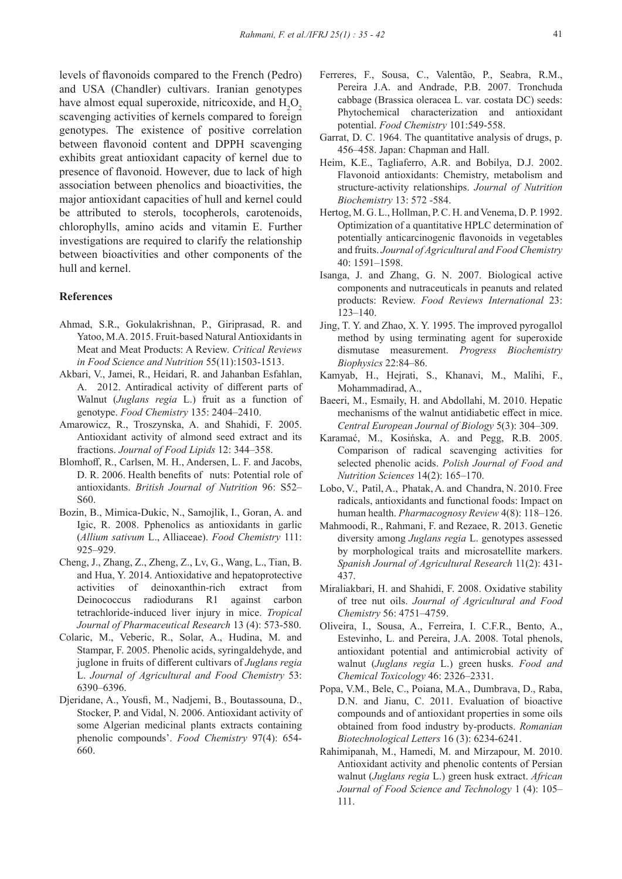levels of flavonoids compared to the French (Pedro) and USA (Chandler) cultivars. Iranian genotypes have almost equal superoxide, nitricoxide, and  $H_2O_2$ scavenging activities of kernels compared to foreign genotypes. The existence of positive correlation between flavonoid content and DPPH scavenging exhibits great antioxidant capacity of kernel due to presence of flavonoid. However, due to lack of high association between phenolics and bioactivities, the major antioxidant capacities of hull and kernel could be attributed to sterols, tocopherols, carotenoids, chlorophylls, amino acids and vitamin E. Further investigations are required to clarify the relationship between bioactivities and other components of the hull and kernel.

# **References**

- Ahmad, S.R., Gokulakrishnan, P., Giriprasad, R. and Yatoo, M.A. 2015. Fruit-based Natural Antioxidants in Meat and Meat Products: A Review. *Critical Reviews in Food Science and Nutrition* 55(11):1503-1513.
- Akbari, V., Jamei, R., Heidari, R. and Jahanban Esfahlan, A. 2012. Antiradical activity of different parts of Walnut (*Juglans regia* L.) fruit as a function of genotype. *Food Chemistry* 135: 2404–2410.
- Amarowicz, R., Troszynska, A. and Shahidi, F. 2005. Antioxidant activity of almond seed extract and its fractions. *Journal of Food Lipids* 12: 344–358.
- Blomhoff, R., Carlsen, M. H., Andersen, L. F. and Jacobs, D. R. 2006. Health benefits of nuts: Potential role of antioxidants. *British Journal of Nutrition* 96: S52– S60.
- Bozin, B., Mimica-Dukic, N., Samojlik, I., Goran, A. and Igic, R. 2008. Pphenolics as antioxidants in garlic (*Allium sativum* L., Alliaceae). *Food Chemistry* 111: 925–929.
- Cheng, J., Zhang, Z., Zheng, Z., Lv, G., Wang, L., Tian, B. and Hua, Y. 2014. Antioxidative and hepatoprotective activities of deinoxanthin-rich extract from Deinococcus radiodurans R1 against carbon tetrachloride-induced liver injury in mice. *Tropical Journal of Pharmaceutical Research* 13 (4): 573-580.
- Colaric, M., Veberic, R., Solar, A., Hudina, M. and Stampar, F. 2005. Phenolic acids, syringaldehyde, and juglone in fruits of different cultivars of *Juglans regia* L. *Journal of Agricultural and Food Chemistry* 53: 6390–6396.
- Djeridane, A., Yousfi, M., Nadjemi, B., Boutassouna, D., Stocker, P. and Vidal, N. 2006. Antioxidant activity of some Algerian medicinal plants extracts containing phenolic compounds'. *Food Chemistry* 97(4): 654- 660.
- Ferreres, F., Sousa, C., Valentão, P., Seabra, R.M., Pereira J.A. and Andrade, P.B. 2007. Tronchuda cabbage (Brassica oleracea L. var. costata DC) seeds: Phytochemical characterization and antioxidant potential. *Food Chemistry* 101:549-558.
- Garrat, D. C. 1964. The quantitative analysis of drugs, p. 456–458. Japan: Chapman and Hall.
- Heim, K.E., Tagliaferro, A.R. and Bobilya, D.J. 2002. Flavonoid antioxidants: Chemistry, metabolism and structure-activity relationships. *Journal of Nutrition Biochemistry* 13: 572 -584.
- Hertog, M. G. L., Hollman, P. C. H. and Venema, D. P. 1992. Optimization of a quantitative HPLC determination of potentially anticarcinogenic flavonoids in vegetables and fruits. *Journal of Agricultural and Food Chemistry*  40: 1591–1598.
- Isanga, J. and Zhang, G. N. 2007. Biological active components and nutraceuticals in peanuts and related products: Review. *Food Reviews International* 23: 123–140.
- Jing, T. Y. and Zhao, X. Y. 1995. The improved pyrogallol method by using terminating agent for superoxide dismutase measurement. *Progress Biochemistry Biophysics* 22:84–86.
- Kamyab, H., Hejrati, S., Khanavi, M., Malihi, F., Mohammadirad, A.,
- Baeeri, M., Esmaily, H. and Abdollahi, M. 2010. Hepatic mechanisms of the walnut antidiabetic effect in mice. *Central European Journal of Biology* 5(3): 304–309.
- Karamać, M., Kosińska, A. and Pegg, R.B. 2005. Comparison of radical scavenging activities for selected phenolic acids. *Polish Journal of Food and Nutrition Sciences* 14(2): 165–170.
- Lobo, V., Patil, A., Phatak, A. and Chandra, N. 2010. Free radicals, antioxidants and functional foods: Impact on human health. *Pharmacognosy Review* 4(8): 118–126.
- Mahmoodi, R., Rahmani, F. and Rezaee, R. 2013. Genetic diversity among *Juglans regia* L. genotypes assessed by morphological traits and microsatellite markers. *Spanish Journal of Agricultural Research* 11(2): 431- 437.
- Miraliakbari, H. and Shahidi, F. 2008. Oxidative stability of tree nut oils. *Journal of Agricultural and Food Chemistry* 56: 4751–4759.
- Oliveira, I., Sousa, A., Ferreira, I. C.F.R., Bento, A., Estevinho, L. and Pereira, J.A. 2008. Total phenols, antioxidant potential and antimicrobial activity of walnut (*Juglans regia* L.) green husks. *Food and Chemical Toxicology* 46: 2326–2331.
- Popa, V.M., Bele, C., Poiana, M.A., Dumbrava, D., Raba, D.N. and Jianu, C. 2011. Evaluation of bioactive compounds and of antioxidant properties in some oils obtained from food industry by-products. *Romanian Biotechnological Letters* 16 (3): 6234-6241.
- Rahimipanah, M., Hamedi, M. and Mirzapour, M. 2010. Antioxidant activity and phenolic contents of Persian walnut (*Juglans regia* L.) green husk extract. *African Journal of Food Science and Technology* 1 (4): 105– 111.